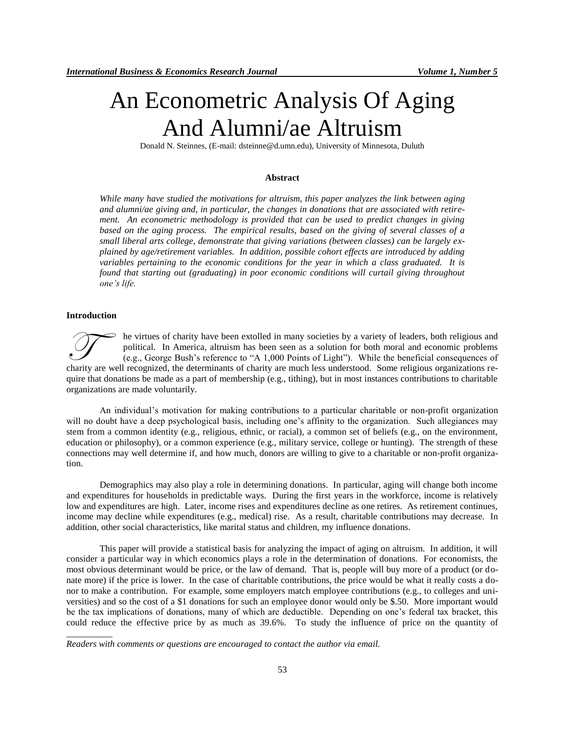# An Econometric Analysis Of Aging And Alumni/ae Altruism

Donald N. Steinnes, (E-mail: dsteinne@d.umn.edu), University of Minnesota, Duluth

## **Abstract**

*While many have studied the motivations for altruism, this paper analyzes the link between aging and alumni/ae giving and, in particular, the changes in donations that are associated with retirement. An econometric methodology is provided that can be used to predict changes in giving based on the aging process. The empirical results, based on the giving of several classes of a small liberal arts college, demonstrate that giving variations (between classes) can be largely explained by age/retirement variables. In addition, possible cohort effects are introduced by adding variables pertaining to the economic conditions for the year in which a class graduated. It is found that starting out (graduating) in poor economic conditions will curtail giving throughout one's life.*

#### **Introduction**

\_\_\_\_\_\_\_\_\_\_

he virtues of charity have been extolled in many societies by a variety of leaders, both religious and political. In America, altruism has been seen as a solution for both moral and economic problems (e.g., George Bush's reference to "A 1,000 Points of Light"). While the beneficial consequences of The virtues of charity have been extolled in many societies by a variety of leaders, both religious and political. In America, altruism has been seen as a solution for both moral and economic problems (e.g., George Bush's quire that donations be made as a part of membership (e.g., tithing), but in most instances contributions to charitable organizations are made voluntarily.

An individual's motivation for making contributions to a particular charitable or non-profit organization will no doubt have a deep psychological basis, including one's affinity to the organization. Such allegiances may stem from a common identity (e.g., religious, ethnic, or racial), a common set of beliefs (e.g., on the environment, education or philosophy), or a common experience (e.g., military service, college or hunting). The strength of these connections may well determine if, and how much, donors are willing to give to a charitable or non-profit organization.

Demographics may also play a role in determining donations. In particular, aging will change both income and expenditures for households in predictable ways. During the first years in the workforce, income is relatively low and expenditures are high. Later, income rises and expenditures decline as one retires. As retirement continues, income may decline while expenditures (e.g., medical) rise. As a result, charitable contributions may decrease. In addition, other social characteristics, like marital status and children, my influence donations.

This paper will provide a statistical basis for analyzing the impact of aging on altruism. In addition, it will consider a particular way in which economics plays a role in the determination of donations. For economists, the most obvious determinant would be price, or the law of demand. That is, people will buy more of a product (or donate more) if the price is lower. In the case of charitable contributions, the price would be what it really costs a donor to make a contribution. For example, some employers match employee contributions (e.g., to colleges and universities) and so the cost of a \$1 donations for such an employee donor would only be \$.50. More important would be the tax implications of donations, many of which are deductible. Depending on one's federal tax bracket, this could reduce the effective price by as much as 39.6%. To study the influence of price on the quantity of

*Readers with comments or questions are encouraged to contact the author via email.*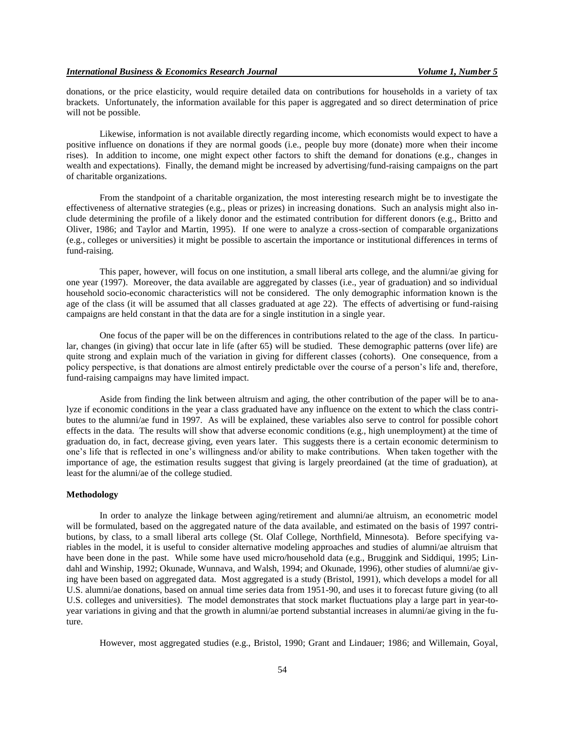donations, or the price elasticity, would require detailed data on contributions for households in a variety of tax brackets. Unfortunately, the information available for this paper is aggregated and so direct determination of price will not be possible.

Likewise, information is not available directly regarding income, which economists would expect to have a positive influence on donations if they are normal goods (i.e., people buy more (donate) more when their income rises). In addition to income, one might expect other factors to shift the demand for donations (e.g., changes in wealth and expectations). Finally, the demand might be increased by advertising/fund-raising campaigns on the part of charitable organizations.

From the standpoint of a charitable organization, the most interesting research might be to investigate the effectiveness of alternative strategies (e.g., pleas or prizes) in increasing donations. Such an analysis might also include determining the profile of a likely donor and the estimated contribution for different donors (e.g., Britto and Oliver, 1986; and Taylor and Martin, 1995). If one were to analyze a cross-section of comparable organizations (e.g., colleges or universities) it might be possible to ascertain the importance or institutional differences in terms of fund-raising.

This paper, however, will focus on one institution, a small liberal arts college, and the alumni/ae giving for one year (1997). Moreover, the data available are aggregated by classes (i.e., year of graduation) and so individual household socio-economic characteristics will not be considered. The only demographic information known is the age of the class (it will be assumed that all classes graduated at age 22). The effects of advertising or fund-raising campaigns are held constant in that the data are for a single institution in a single year.

One focus of the paper will be on the differences in contributions related to the age of the class. In particular, changes (in giving) that occur late in life (after 65) will be studied. These demographic patterns (over life) are quite strong and explain much of the variation in giving for different classes (cohorts). One consequence, from a policy perspective, is that donations are almost entirely predictable over the course of a person's life and, therefore, fund-raising campaigns may have limited impact.

Aside from finding the link between altruism and aging, the other contribution of the paper will be to analyze if economic conditions in the year a class graduated have any influence on the extent to which the class contributes to the alumni/ae fund in 1997. As will be explained, these variables also serve to control for possible cohort effects in the data. The results will show that adverse economic conditions (e.g., high unemployment) at the time of graduation do, in fact, decrease giving, even years later. This suggests there is a certain economic determinism to one's life that is reflected in one's willingness and/or ability to make contributions. When taken together with the importance of age, the estimation results suggest that giving is largely preordained (at the time of graduation), at least for the alumni/ae of the college studied.

## **Methodology**

In order to analyze the linkage between aging/retirement and alumni/ae altruism, an econometric model will be formulated, based on the aggregated nature of the data available, and estimated on the basis of 1997 contributions, by class, to a small liberal arts college (St. Olaf College, Northfield, Minnesota). Before specifying variables in the model, it is useful to consider alternative modeling approaches and studies of alumni/ae altruism that have been done in the past. While some have used micro/household data (e.g., Bruggink and Siddiqui, 1995; Lindahl and Winship, 1992; Okunade, Wunnava, and Walsh, 1994; and Okunade, 1996), other studies of alumni/ae giving have been based on aggregated data. Most aggregated is a study (Bristol, 1991), which develops a model for all U.S. alumni/ae donations, based on annual time series data from 1951-90, and uses it to forecast future giving (to all U.S. colleges and universities). The model demonstrates that stock market fluctuations play a large part in year-toyear variations in giving and that the growth in alumni/ae portend substantial increases in alumni/ae giving in the future.

However, most aggregated studies (e.g., Bristol, 1990; Grant and Lindauer; 1986; and Willemain, Goyal,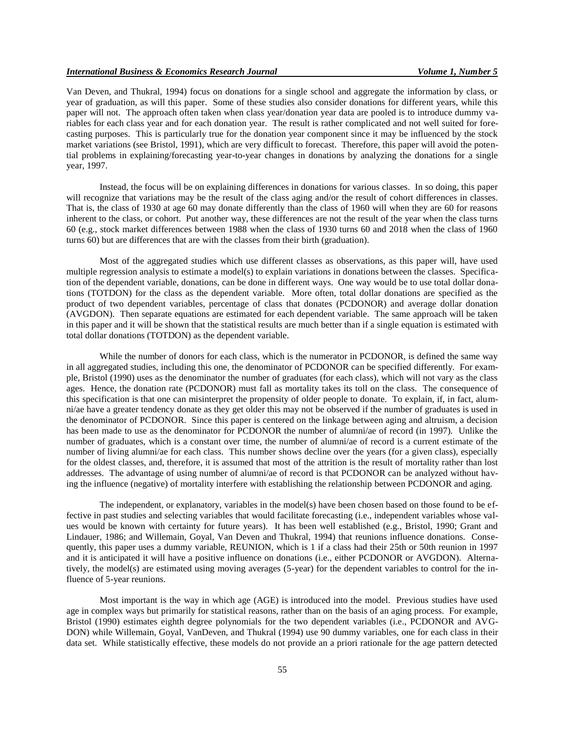Van Deven, and Thukral, 1994) focus on donations for a single school and aggregate the information by class, or year of graduation, as will this paper. Some of these studies also consider donations for different years, while this paper will not. The approach often taken when class year/donation year data are pooled is to introduce dummy variables for each class year and for each donation year. The result is rather complicated and not well suited for forecasting purposes. This is particularly true for the donation year component since it may be influenced by the stock market variations (see Bristol, 1991), which are very difficult to forecast. Therefore, this paper will avoid the potential problems in explaining/forecasting year-to-year changes in donations by analyzing the donations for a single year, 1997.

Instead, the focus will be on explaining differences in donations for various classes. In so doing, this paper will recognize that variations may be the result of the class aging and/or the result of cohort differences in classes. That is, the class of 1930 at age 60 may donate differently than the class of 1960 will when they are 60 for reasons inherent to the class, or cohort. Put another way, these differences are not the result of the year when the class turns 60 (e.g., stock market differences between 1988 when the class of 1930 turns 60 and 2018 when the class of 1960 turns 60) but are differences that are with the classes from their birth (graduation).

Most of the aggregated studies which use different classes as observations, as this paper will, have used multiple regression analysis to estimate a model(s) to explain variations in donations between the classes. Specification of the dependent variable, donations, can be done in different ways. One way would be to use total dollar donations (TOTDON) for the class as the dependent variable. More often, total dollar donations are specified as the product of two dependent variables, percentage of class that donates (PCDONOR) and average dollar donation (AVGDON). Then separate equations are estimated for each dependent variable. The same approach will be taken in this paper and it will be shown that the statistical results are much better than if a single equation is estimated with total dollar donations (TOTDON) as the dependent variable.

While the number of donors for each class, which is the numerator in PCDONOR, is defined the same way in all aggregated studies, including this one, the denominator of PCDONOR can be specified differently. For example, Bristol (1990) uses as the denominator the number of graduates (for each class), which will not vary as the class ages. Hence, the donation rate (PCDONOR) must fall as mortality takes its toll on the class. The consequence of this specification is that one can misinterpret the propensity of older people to donate. To explain, if, in fact, alumni/ae have a greater tendency donate as they get older this may not be observed if the number of graduates is used in the denominator of PCDONOR. Since this paper is centered on the linkage between aging and altruism, a decision has been made to use as the denominator for PCDONOR the number of alumni/ae of record (in 1997). Unlike the number of graduates, which is a constant over time, the number of alumni/ae of record is a current estimate of the number of living alumni/ae for each class. This number shows decline over the years (for a given class), especially for the oldest classes, and, therefore, it is assumed that most of the attrition is the result of mortality rather than lost addresses. The advantage of using number of alumni/ae of record is that PCDONOR can be analyzed without having the influence (negative) of mortality interfere with establishing the relationship between PCDONOR and aging.

The independent, or explanatory, variables in the model(s) have been chosen based on those found to be effective in past studies and selecting variables that would facilitate forecasting (i.e., independent variables whose values would be known with certainty for future years). It has been well established (e.g., Bristol, 1990; Grant and Lindauer, 1986; and Willemain, Goyal, Van Deven and Thukral, 1994) that reunions influence donations. Consequently, this paper uses a dummy variable, REUNION, which is 1 if a class had their 25th or 50th reunion in 1997 and it is anticipated it will have a positive influence on donations (i.e., either PCDONOR or AVGDON). Alternatively, the model(s) are estimated using moving averages (5-year) for the dependent variables to control for the influence of 5-year reunions.

Most important is the way in which age (AGE) is introduced into the model. Previous studies have used age in complex ways but primarily for statistical reasons, rather than on the basis of an aging process. For example, Bristol (1990) estimates eighth degree polynomials for the two dependent variables (i.e., PCDONOR and AVG-DON) while Willemain, Goyal, VanDeven, and Thukral (1994) use 90 dummy variables, one for each class in their data set. While statistically effective, these models do not provide an a priori rationale for the age pattern detected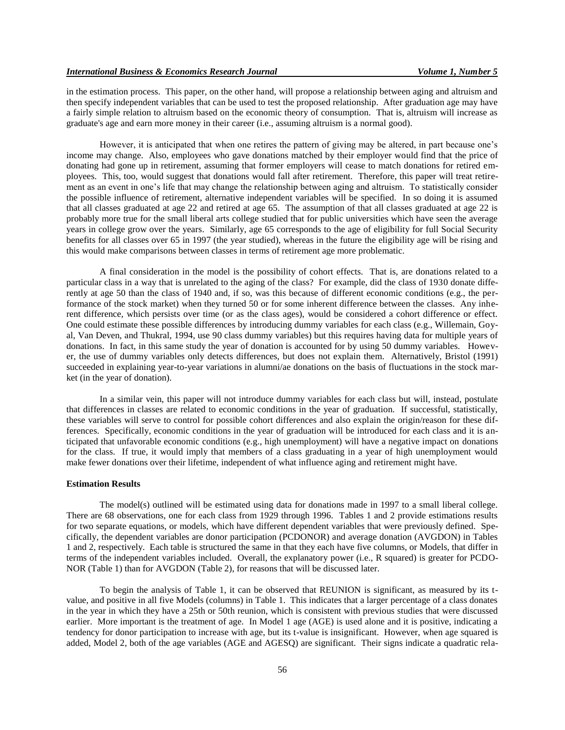in the estimation process. This paper, on the other hand, will propose a relationship between aging and altruism and then specify independent variables that can be used to test the proposed relationship. After graduation age may have a fairly simple relation to altruism based on the economic theory of consumption. That is, altruism will increase as graduate's age and earn more money in their career (i.e., assuming altruism is a normal good).

However, it is anticipated that when one retires the pattern of giving may be altered, in part because one's income may change. Also, employees who gave donations matched by their employer would find that the price of donating had gone up in retirement, assuming that former employers will cease to match donations for retired employees. This, too, would suggest that donations would fall after retirement. Therefore, this paper will treat retirement as an event in one's life that may change the relationship between aging and altruism. To statistically consider the possible influence of retirement, alternative independent variables will be specified. In so doing it is assumed that all classes graduated at age 22 and retired at age 65. The assumption of that all classes graduated at age 22 is probably more true for the small liberal arts college studied that for public universities which have seen the average years in college grow over the years. Similarly, age 65 corresponds to the age of eligibility for full Social Security benefits for all classes over 65 in 1997 (the year studied), whereas in the future the eligibility age will be rising and this would make comparisons between classes in terms of retirement age more problematic.

A final consideration in the model is the possibility of cohort effects. That is, are donations related to a particular class in a way that is unrelated to the aging of the class? For example, did the class of 1930 donate differently at age 50 than the class of 1940 and, if so, was this because of different economic conditions (e.g., the performance of the stock market) when they turned 50 or for some inherent difference between the classes. Any inherent difference, which persists over time (or as the class ages), would be considered a cohort difference or effect. One could estimate these possible differences by introducing dummy variables for each class (e.g., Willemain, Goyal, Van Deven, and Thukral, 1994, use 90 class dummy variables) but this requires having data for multiple years of donations. In fact, in this same study the year of donation is accounted for by using 50 dummy variables. However, the use of dummy variables only detects differences, but does not explain them. Alternatively, Bristol (1991) succeeded in explaining year-to-year variations in alumni/ae donations on the basis of fluctuations in the stock market (in the year of donation).

In a similar vein, this paper will not introduce dummy variables for each class but will, instead, postulate that differences in classes are related to economic conditions in the year of graduation. If successful, statistically, these variables will serve to control for possible cohort differences and also explain the origin/reason for these differences. Specifically, economic conditions in the year of graduation will be introduced for each class and it is anticipated that unfavorable economic conditions (e.g., high unemployment) will have a negative impact on donations for the class. If true, it would imply that members of a class graduating in a year of high unemployment would make fewer donations over their lifetime, independent of what influence aging and retirement might have.

#### **Estimation Results**

The model(s) outlined will be estimated using data for donations made in 1997 to a small liberal college. There are 68 observations, one for each class from 1929 through 1996. Tables 1 and 2 provide estimations results for two separate equations, or models, which have different dependent variables that were previously defined. Specifically, the dependent variables are donor participation (PCDONOR) and average donation (AVGDON) in Tables 1 and 2, respectively. Each table is structured the same in that they each have five columns, or Models, that differ in terms of the independent variables included. Overall, the explanatory power (i.e., R squared) is greater for PCDO-NOR (Table 1) than for AVGDON (Table 2), for reasons that will be discussed later.

To begin the analysis of Table 1, it can be observed that REUNION is significant, as measured by its tvalue, and positive in all five Models (columns) in Table 1. This indicates that a larger percentage of a class donates in the year in which they have a 25th or 50th reunion, which is consistent with previous studies that were discussed earlier. More important is the treatment of age. In Model 1 age (AGE) is used alone and it is positive, indicating a tendency for donor participation to increase with age, but its t-value is insignificant. However, when age squared is added, Model 2, both of the age variables (AGE and AGESQ) are significant. Their signs indicate a quadratic rela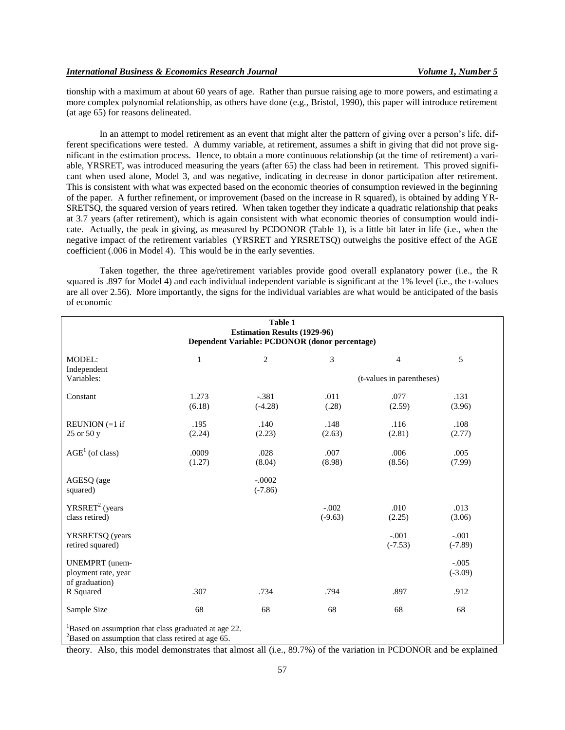tionship with a maximum at about 60 years of age. Rather than pursue raising age to more powers, and estimating a more complex polynomial relationship, as others have done (e.g., Bristol, 1990), this paper will introduce retirement (at age 65) for reasons delineated.

In an attempt to model retirement as an event that might alter the pattern of giving over a person's life, different specifications were tested. A dummy variable, at retirement, assumes a shift in giving that did not prove significant in the estimation process. Hence, to obtain a more continuous relationship (at the time of retirement) a variable, YRSRET, was introduced measuring the years (after 65) the class had been in retirement. This proved significant when used alone, Model 3, and was negative, indicating in decrease in donor participation after retirement. This is consistent with what was expected based on the economic theories of consumption reviewed in the beginning of the paper. A further refinement, or improvement (based on the increase in R squared), is obtained by adding YR-SRETSQ, the squared version of years retired. When taken together they indicate a quadratic relationship that peaks at 3.7 years (after retirement), which is again consistent with what economic theories of consumption would indicate. Actually, the peak in giving, as measured by PCDONOR (Table 1), is a little bit later in life (i.e., when the negative impact of the retirement variables (YRSRET and YRSRETSQ) outweighs the positive effect of the AGE coefficient (.006 in Model 4). This would be in the early seventies.

Taken together, the three age/retirement variables provide good overall explanatory power (i.e., the R squared is .897 for Model 4) and each individual independent variable is significant at the 1% level (i.e., the t-values are all over 2.56). More importantly, the signs for the individual variables are what would be anticipated of the basis of economic

| Table 1<br><b>Estimation Results (1929-96)</b><br>Dependent Variable: PCDONOR (donor percentage)                            |                 |                       |                      |                           |                      |  |  |
|-----------------------------------------------------------------------------------------------------------------------------|-----------------|-----------------------|----------------------|---------------------------|----------------------|--|--|
| <b>MODEL:</b><br>Independent                                                                                                | $\mathbf{1}$    | $\overline{c}$        | 3                    | $\overline{4}$            | 5                    |  |  |
| Variables:                                                                                                                  |                 |                       |                      | (t-values in parentheses) |                      |  |  |
| Constant                                                                                                                    | 1.273<br>(6.18) | $-.381$<br>$(-4.28)$  | .011<br>(.28)        | .077<br>(2.59)            | .131<br>(3.96)       |  |  |
| REUNION $(=1$ if<br>25 or 50 y                                                                                              | .195<br>(2.24)  | .140<br>(2.23)        | .148<br>(2.63)       | .116<br>(2.81)            | .108<br>(2.77)       |  |  |
| $AGE1$ (of class)                                                                                                           | .0009<br>(1.27) | .028<br>(8.04)        | .007<br>(8.98)       | .006<br>(8.56)            | .005<br>(7.99)       |  |  |
| AGESQ (age<br>squared)                                                                                                      |                 | $-.0002$<br>$(-7.86)$ |                      |                           |                      |  |  |
| YRSRET <sup>2</sup> (years)<br>class retired)                                                                               |                 |                       | $-.002$<br>$(-9.63)$ | .010<br>(2.25)            | .013<br>(3.06)       |  |  |
| YRSRETSQ (years<br>retired squared)                                                                                         |                 |                       |                      | $-.001$<br>$(-7.53)$      | $-.001$<br>$(-7.89)$ |  |  |
| <b>UNEMPRT</b> (unem-<br>ployment rate, year<br>of graduation)                                                              |                 |                       |                      |                           | $-.005$<br>$(-3.09)$ |  |  |
| R Squared                                                                                                                   | .307            | .734                  | .794                 | .897                      | .912                 |  |  |
| Sample Size                                                                                                                 | 68              | 68                    | 68                   | 68                        | 68                   |  |  |
| <sup>1</sup> Based on assumption that class graduated at age 22.<br>$2^2$ Based on assumption that class retired at age 65. |                 |                       |                      |                           |                      |  |  |

theory. Also, this model demonstrates that almost all (i.e., 89.7%) of the variation in PCDONOR and be explained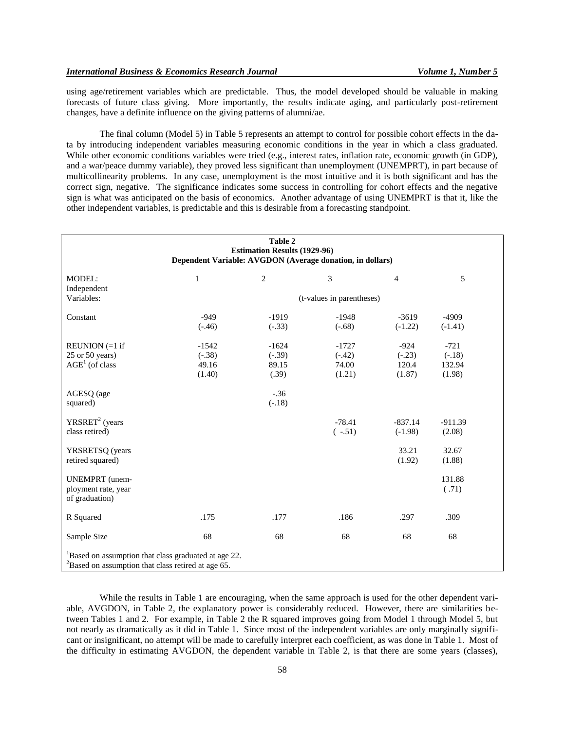using age/retirement variables which are predictable. Thus, the model developed should be valuable in making forecasts of future class giving. More importantly, the results indicate aging, and particularly post-retirement changes, have a definite influence on the giving patterns of alumni/ae.

The final column (Model 5) in Table 5 represents an attempt to control for possible cohort effects in the data by introducing independent variables measuring economic conditions in the year in which a class graduated. While other economic conditions variables were tried (e.g., interest rates, inflation rate, economic growth (in GDP), and a war/peace dummy variable), they proved less significant than unemployment (UNEMPRT), in part because of multicollinearity problems. In any case, unemployment is the most intuitive and it is both significant and has the correct sign, negative. The significance indicates some success in controlling for cohort effects and the negative sign is what was anticipated on the basis of economics. Another advantage of using UNEMPRT is that it, like the other independent variables, is predictable and this is desirable from a forecasting standpoint.

| Table 2<br><b>Estimation Results (1929-96)</b><br>Dependent Variable: AVGDON (Average donation, in dollars)                    |                                        |                                       |                                        |                                       |                                        |  |  |  |
|--------------------------------------------------------------------------------------------------------------------------------|----------------------------------------|---------------------------------------|----------------------------------------|---------------------------------------|----------------------------------------|--|--|--|
| <b>MODEL:</b><br>Independent                                                                                                   | $\mathbf{1}$                           | $\overline{c}$                        | 3                                      | $\overline{4}$                        | 5                                      |  |  |  |
| Variables:                                                                                                                     | (t-values in parentheses)              |                                       |                                        |                                       |                                        |  |  |  |
| Constant                                                                                                                       | $-949$<br>$(-.46)$                     | $-1919$<br>$(-.33)$                   | $-1948$<br>$(-.68)$                    | $-3619$<br>$(-1.22)$                  | $-4909$<br>$(-1.41)$                   |  |  |  |
| REUNION $(=1$ if<br>$25$ or $50$ years)<br>$AGE1$ (of class                                                                    | $-1542$<br>$(-.38)$<br>49.16<br>(1.40) | $-1624$<br>$(-.39)$<br>89.15<br>(.39) | $-1727$<br>$(-.42)$<br>74.00<br>(1.21) | $-924$<br>$(-.23)$<br>120.4<br>(1.87) | $-721$<br>$(-.18)$<br>132.94<br>(1.98) |  |  |  |
| AGESQ (age<br>squared)                                                                                                         |                                        | $-.36$<br>$(-.18)$                    |                                        |                                       |                                        |  |  |  |
| YRSRET <sup>2</sup> (years)<br>class retired)                                                                                  |                                        |                                       | $-78.41$<br>$(-.51)$                   | $-837.14$<br>$(-1.98)$                | $-911.39$<br>(2.08)                    |  |  |  |
| YRSRETSQ (years)<br>retired squared)                                                                                           |                                        |                                       |                                        | 33.21<br>(1.92)                       | 32.67<br>(1.88)                        |  |  |  |
| <b>UNEMPRT</b> (unem-<br>ployment rate, year<br>of graduation)                                                                 |                                        |                                       |                                        |                                       | 131.88<br>(.71)                        |  |  |  |
| R Squared                                                                                                                      | .175                                   | .177                                  | .186                                   | .297                                  | .309                                   |  |  |  |
| Sample Size                                                                                                                    | 68                                     | 68                                    | 68                                     | 68                                    | 68                                     |  |  |  |
| <sup>1</sup> Based on assumption that class graduated at age 22.<br>${}^{2}$ Based on assumption that class retired at age 65. |                                        |                                       |                                        |                                       |                                        |  |  |  |

While the results in Table 1 are encouraging, when the same approach is used for the other dependent variable, AVGDON, in Table 2, the explanatory power is considerably reduced. However, there are similarities between Tables 1 and 2. For example, in Table 2 the R squared improves going from Model 1 through Model 5, but not nearly as dramatically as it did in Table 1. Since most of the independent variables are only marginally significant or insignificant, no attempt will be made to carefully interpret each coefficient, as was done in Table 1. Most of the difficulty in estimating AVGDON, the dependent variable in Table 2, is that there are some years (classes),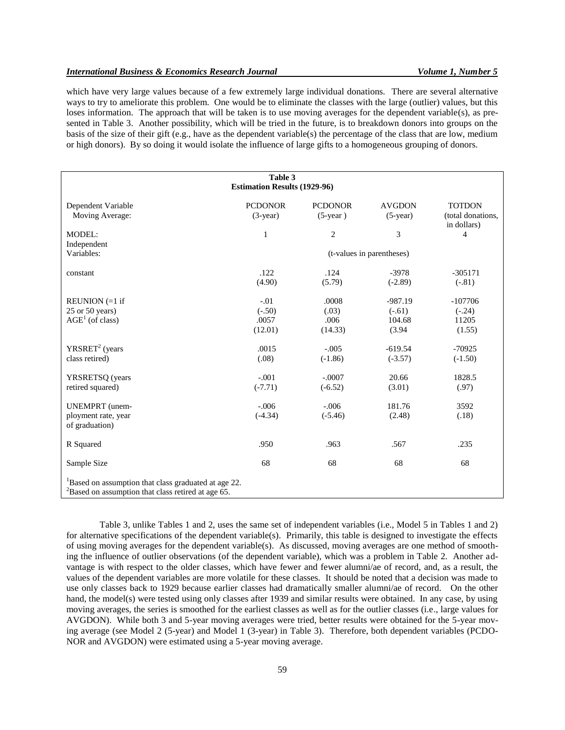## *International Business & Economics Research Journal Volume 1, Number 5*

which have very large values because of a few extremely large individual donations. There are several alternative ways to try to ameliorate this problem. One would be to eliminate the classes with the large (outlier) values, but this loses information. The approach that will be taken is to use moving averages for the dependent variable(s), as presented in Table 3. Another possibility, which will be tried in the future, is to breakdown donors into groups on the basis of the size of their gift (e.g., have as the dependent variable(s) the percentage of the class that are low, medium or high donors). By so doing it would isolate the influence of large gifts to a homogeneous grouping of donors.

| Table 3<br><b>Estimation Results (1929-96)</b>                                                                              |                                        |                                   |                                           |                                                   |  |  |  |
|-----------------------------------------------------------------------------------------------------------------------------|----------------------------------------|-----------------------------------|-------------------------------------------|---------------------------------------------------|--|--|--|
| Dependent Variable<br>Moving Average:                                                                                       | <b>PCDONOR</b><br>$(3-year)$           | <b>PCDONOR</b><br>$(5-year)$      | <b>AVGDON</b><br>$(5$ -year)              | <b>TOTDON</b><br>(total donations,<br>in dollars) |  |  |  |
| <b>MODEL:</b><br>Independent                                                                                                | 1                                      | $\mathbf{2}$                      | 3                                         | 4                                                 |  |  |  |
| Variables:                                                                                                                  | (t-values in parentheses)              |                                   |                                           |                                                   |  |  |  |
| constant                                                                                                                    | .122<br>(4.90)                         | .124<br>(5.79)                    | $-3978$<br>$(-2.89)$                      | $-305171$<br>$(-.81)$                             |  |  |  |
| REUNION $(=1$ if<br>$25$ or $50$ years)<br>$\text{AGE}^1$ (of class)                                                        | $-.01$<br>$(-.50)$<br>.0057<br>(12.01) | .0008<br>(.03)<br>.006<br>(14.33) | $-987.19$<br>$(-.61)$<br>104.68<br>(3.94) | $-107706$<br>$(-.24)$<br>11205<br>(1.55)          |  |  |  |
| YRSRET <sup>2</sup> (years)<br>class retired)                                                                               | .0015<br>(.08)                         | $-.005$<br>$(-1.86)$              | $-619.54$<br>$(-3.57)$                    | $-70925$<br>$(-1.50)$                             |  |  |  |
| YRSRETSQ (years<br>retired squared)                                                                                         | $-.001$<br>$(-7.71)$                   | $-.0007$<br>$(-6.52)$             | 20.66<br>(3.01)                           | 1828.5<br>(.97)                                   |  |  |  |
| <b>UNEMPRT</b> (unem-<br>ployment rate, year<br>of graduation)                                                              | $-.006$<br>$(-4.34)$                   | $-.006$<br>$(-5.46)$              | 181.76<br>(2.48)                          | 3592<br>(.18)                                     |  |  |  |
| R Squared                                                                                                                   | .950                                   | .963                              | .567                                      | .235                                              |  |  |  |
| Sample Size                                                                                                                 | 68                                     | 68                                | 68                                        | 68                                                |  |  |  |
| <sup>1</sup> Based on assumption that class graduated at age 22.<br>$2^2$ Based on assumption that class retired at age 65. |                                        |                                   |                                           |                                                   |  |  |  |

Table 3, unlike Tables 1 and 2, uses the same set of independent variables (i.e., Model 5 in Tables 1 and 2) for alternative specifications of the dependent variable(s). Primarily, this table is designed to investigate the effects of using moving averages for the dependent variable(s). As discussed, moving averages are one method of smoothing the influence of outlier observations (of the dependent variable), which was a problem in Table 2. Another advantage is with respect to the older classes, which have fewer and fewer alumni/ae of record, and, as a result, the values of the dependent variables are more volatile for these classes. It should be noted that a decision was made to use only classes back to 1929 because earlier classes had dramatically smaller alumni/ae of record. On the other hand, the model(s) were tested using only classes after 1939 and similar results were obtained. In any case, by using moving averages, the series is smoothed for the earliest classes as well as for the outlier classes (i.e., large values for AVGDON). While both 3 and 5-year moving averages were tried, better results were obtained for the 5-year moving average (see Model 2 (5-year) and Model 1 (3-year) in Table 3). Therefore, both dependent variables (PCDO-NOR and AVGDON) were estimated using a 5-year moving average.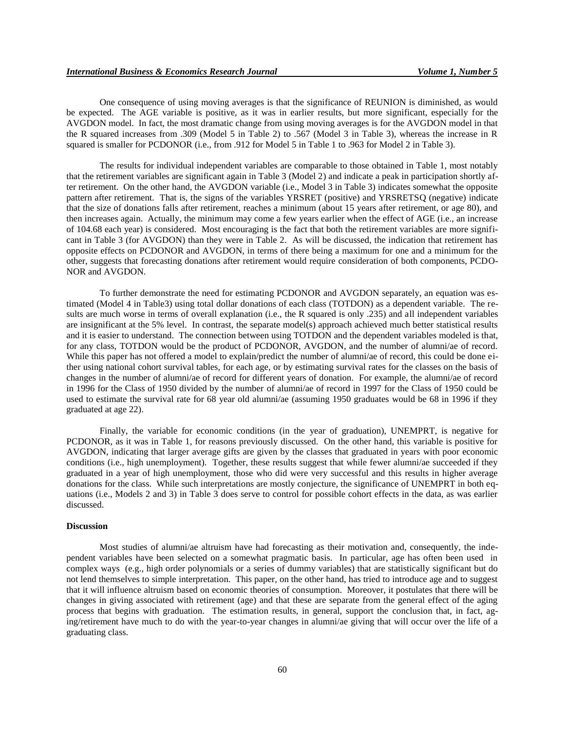One consequence of using moving averages is that the significance of REUNION is diminished, as would be expected. The AGE variable is positive, as it was in earlier results, but more significant, especially for the AVGDON model. In fact, the most dramatic change from using moving averages is for the AVGDON model in that the R squared increases from .309 (Model 5 in Table 2) to .567 (Model 3 in Table 3), whereas the increase in R squared is smaller for PCDONOR (i.e., from .912 for Model 5 in Table 1 to .963 for Model 2 in Table 3).

The results for individual independent variables are comparable to those obtained in Table 1, most notably that the retirement variables are significant again in Table 3 (Model 2) and indicate a peak in participation shortly after retirement. On the other hand, the AVGDON variable (i.e., Model 3 in Table 3) indicates somewhat the opposite pattern after retirement. That is, the signs of the variables YRSRET (positive) and YRSRETSQ (negative) indicate that the size of donations falls after retirement, reaches a minimum (about 15 years after retirement, or age 80), and then increases again. Actually, the minimum may come a few years earlier when the effect of AGE (i.e., an increase of 104.68 each year) is considered. Most encouraging is the fact that both the retirement variables are more significant in Table 3 (for AVGDON) than they were in Table 2. As will be discussed, the indication that retirement has opposite effects on PCDONOR and AVGDON, in terms of there being a maximum for one and a minimum for the other, suggests that forecasting donations after retirement would require consideration of both components, PCDO-NOR and AVGDON.

To further demonstrate the need for estimating PCDONOR and AVGDON separately, an equation was estimated (Model 4 in Table3) using total dollar donations of each class (TOTDON) as a dependent variable. The results are much worse in terms of overall explanation (i.e., the R squared is only .235) and all independent variables are insignificant at the 5% level. In contrast, the separate model(s) approach achieved much better statistical results and it is easier to understand. The connection between using TOTDON and the dependent variables modeled is that, for any class, TOTDON would be the product of PCDONOR, AVGDON, and the number of alumni/ae of record. While this paper has not offered a model to explain/predict the number of alumni/ae of record, this could be done either using national cohort survival tables, for each age, or by estimating survival rates for the classes on the basis of changes in the number of alumni/ae of record for different years of donation. For example, the alumni/ae of record in 1996 for the Class of 1950 divided by the number of alumni/ae of record in 1997 for the Class of 1950 could be used to estimate the survival rate for 68 year old alumni/ae (assuming 1950 graduates would be 68 in 1996 if they graduated at age 22).

Finally, the variable for economic conditions (in the year of graduation), UNEMPRT, is negative for PCDONOR, as it was in Table 1, for reasons previously discussed. On the other hand, this variable is positive for AVGDON, indicating that larger average gifts are given by the classes that graduated in years with poor economic conditions (i.e., high unemployment). Together, these results suggest that while fewer alumni/ae succeeded if they graduated in a year of high unemployment, those who did were very successful and this results in higher average donations for the class. While such interpretations are mostly conjecture, the significance of UNEMPRT in both equations (i.e., Models 2 and 3) in Table 3 does serve to control for possible cohort effects in the data, as was earlier discussed.

## **Discussion**

Most studies of alumni/ae altruism have had forecasting as their motivation and, consequently, the independent variables have been selected on a somewhat pragmatic basis. In particular, age has often been used in complex ways (e.g., high order polynomials or a series of dummy variables) that are statistically significant but do not lend themselves to simple interpretation. This paper, on the other hand, has tried to introduce age and to suggest that it will influence altruism based on economic theories of consumption. Moreover, it postulates that there will be changes in giving associated with retirement (age) and that these are separate from the general effect of the aging process that begins with graduation. The estimation results, in general, support the conclusion that, in fact, aging/retirement have much to do with the year-to-year changes in alumni/ae giving that will occur over the life of a graduating class.